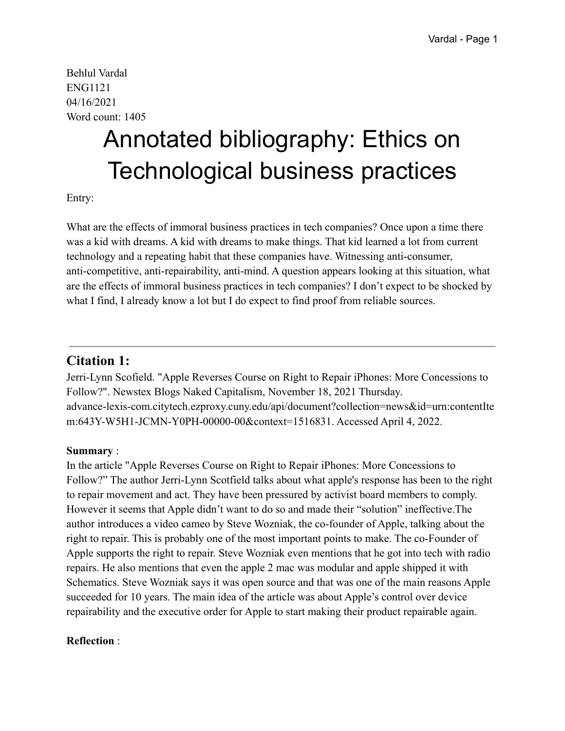Behlul Vardal ENG1121 04/16/2021 Word count: 1405

# Annotated bibliography: Ethics on Technological business practices

Entry:

What are the effects of immoral business practices in tech companies? Once upon a time there was a kid with dreams. A kid with dreams to make things. That kid learned a lot from current technology and a repeating habit that these companies have. Witnessing anti-consumer, anti-competitive, anti-repairability, anti-mind. A question appears looking at this situation, what are the effects of immoral business practices in tech companies? I don't expect to be shocked by what I find, I already know a lot but I do expect to find proof from reliable sources.

# **Citation 1:**

Jerri-Lynn Scofield. "Apple Reverses Course on Right to Repair iPhones: More Concessions to Follow?". Newstex Blogs Naked Capitalism, November 18, 2021 Thursday. advance-lexis-com.citytech.ezproxy.cuny.edu/api/document?collection=news&id=urn:contentIte m:643Y-W5H1-JCMN-Y0PH-00000-00&context=1516831. Accessed April 4, 2022.

# **Summary** :

In the article "Apple Reverses Course on Right to Repair iPhones: More Concessions to Follow?" The author Jerri-Lynn Scotfield talks about what apple's response has been to the right to repair movement and act. They have been pressured by activist board members to comply. However it seems that Apple didn't want to do so and made their "solution" ineffective.The author introduces a video cameo by Steve Wozniak, the co-founder of Apple, talking about the right to repair. This is probably one of the most important points to make. The co-Founder of Apple supports the right to repair. Steve Wozniak even mentions that he got into tech with radio repairs. He also mentions that even the apple 2 mac was modular and apple shipped it with Schematics. Steve Wozniak says it was open source and that was one of the main reasons Apple succeeded for 10 years. The main idea of the article was about Apple's control over device repairability and the executive order for Apple to start making their product repairable again.

# **Reflection** :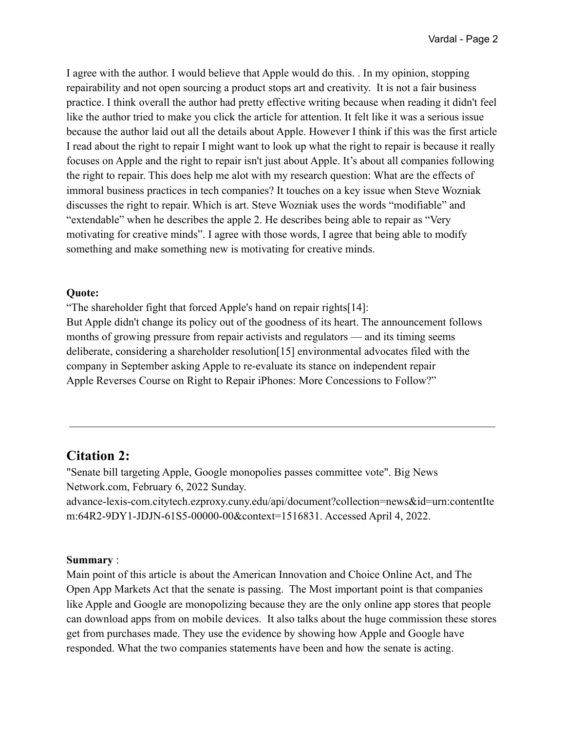I agree with the author. I would believe that Apple would do this. . In my opinion, stopping repairability and not open sourcing a product stops art and creativity. It is not a fair business practice. I think overall the author had pretty effective writing because when reading it didn't feel like the author tried to make you click the article for attention. It felt like it was a serious issue because the author laid out all the details about Apple. However I think if this was the first article I read about the right to repair I might want to look up what the right to repair is because it really focuses on Apple and the right to repair isn't just about Apple. It's about all companies following the right to repair. This does help me alot with my research question: What are the effects of immoral business practices in tech companies? It touches on a key issue when Steve Wozniak discusses the right to repair. Which is art. Steve Wozniak uses the words "modifiable" and "extendable" when he describes the apple 2. He describes being able to repair as "Very motivating for creative minds". I agree with those words, I agree that being able to modify something and make something new is motivating for creative minds.

#### **Quote:**

"The shareholder fight that forced Apple's hand on repair rights[14]:

But Apple didn't change its policy out of the goodness of its heart. The announcement follows months of growing pressure from repair activists and regulators — and its timing seems deliberate, considering a shareholder resolution[15] environmental advocates filed with the company in September asking Apple to re-evaluate its stance on independent repair Apple Reverses Course on Right to Repair iPhones: More Concessions to Follow?"

# **Citation 2:**

"Senate bill targeting Apple, Google monopolies passes committee vote". Big News Network.com, February 6, 2022 Sunday.

advance-lexis-com.citytech.ezproxy.cuny.edu/api/document?collection=news&id=urn:contentIte m:64R2-9DY1-JDJN-61S5-00000-00&context=1516831. Accessed April 4, 2022.

#### **Summary** :

Main point of this article is about the American Innovation and Choice Online Act, and The Open App Markets Act that the senate is passing. The Most important point is that companies like Apple and Google are monopolizing because they are the only online app stores that people can download apps from on mobile devices. It also talks about the huge commission these stores get from purchases made. They use the evidence by showing how Apple and Google have responded. What the two companies statements have been and how the senate is acting.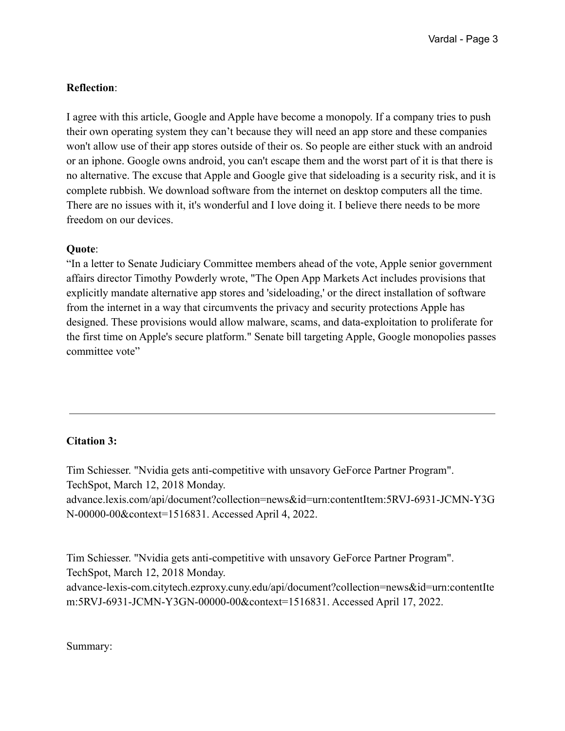#### **Reflection**:

I agree with this article, Google and Apple have become a monopoly. If a company tries to push their own operating system they can't because they will need an app store and these companies won't allow use of their app stores outside of their os. So people are either stuck with an android or an iphone. Google owns android, you can't escape them and the worst part of it is that there is no alternative. The excuse that Apple and Google give that sideloading is a security risk, and it is complete rubbish. We download software from the internet on desktop computers all the time. There are no issues with it, it's wonderful and I love doing it. I believe there needs to be more freedom on our devices.

#### **Quote**:

"In a letter to Senate Judiciary Committee members ahead of the vote, Apple senior government affairs director Timothy Powderly wrote, "The Open App Markets Act includes provisions that explicitly mandate alternative app stores and 'sideloading,' or the direct installation of software from the internet in a way that circumvents the privacy and security protections Apple has designed. These provisions would allow malware, scams, and data-exploitation to proliferate for the first time on Apple's secure platform." Senate bill targeting Apple, Google monopolies passes committee vote"

#### **Citation 3:**

Tim Schiesser. "Nvidia gets anti-competitive with unsavory GeForce Partner Program". TechSpot, March 12, 2018 Monday.

advance.lexis.com/api/document?collection=news&id=urn:contentItem:5RVJ-6931-JCMN-Y3G N-00000-00&context=1516831. Accessed April 4, 2022.

Tim Schiesser. "Nvidia gets anti-competitive with unsavory GeForce Partner Program". TechSpot, March 12, 2018 Monday.

advance-lexis-com.citytech.ezproxy.cuny.edu/api/document?collection=news&id=urn:contentIte m:5RVJ-6931-JCMN-Y3GN-00000-00&context=1516831. Accessed April 17, 2022.

Summary: